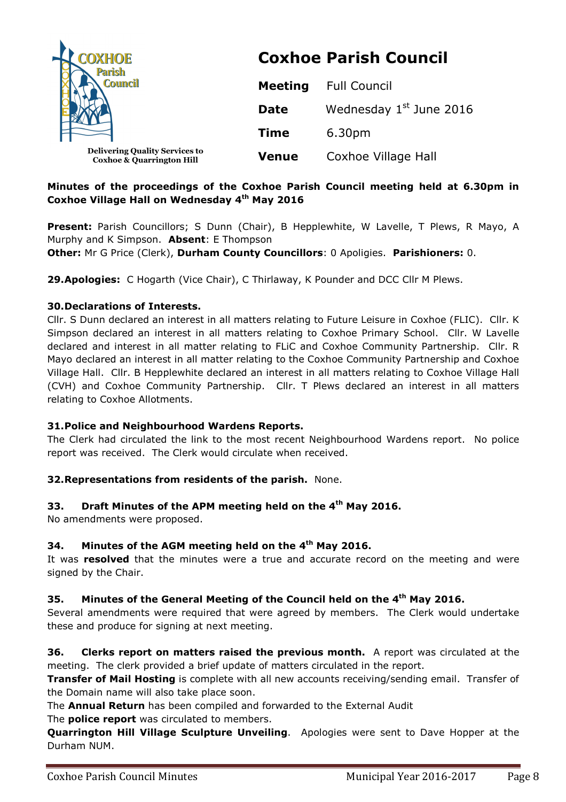| <b>COXHOE</b>                                                                 | <b>Coxhoe Parish Council</b> |                                     |  |
|-------------------------------------------------------------------------------|------------------------------|-------------------------------------|--|
| <b>Parish</b><br><b>Council</b>                                               | <b>Meeting</b>               | <b>Full Council</b>                 |  |
|                                                                               | <b>Date</b>                  | Wednesday 1 <sup>st</sup> June 2016 |  |
|                                                                               | <b>Time</b>                  | 6.30pm                              |  |
| <b>Delivering Quality Services to</b><br><b>Coxhoe &amp; Quarrington Hill</b> | <b>Venue</b>                 | Coxhoe Village Hall                 |  |

# **Minutes of the proceedings of the Coxhoe Parish Council meeting held at 6.30pm in Coxhoe Village Hall on Wednesday 4th May 2016**

Present: Parish Councillors; S Dunn (Chair), B Hepplewhite, W Lavelle, T Plews, R Mayo, A Murphy and K Simpson. **Absent**: E Thompson **Other:** Mr G Price (Clerk), **Durham County Councillors**: 0 Apoligies. **Parishioners:** 0.

**29.Apologies:** C Hogarth (Vice Chair), C Thirlaway, K Pounder and DCC Cllr M Plews.

## **30.Declarations of Interests.**

Cllr. S Dunn declared an interest in all matters relating to Future Leisure in Coxhoe (FLIC). Cllr. K Simpson declared an interest in all matters relating to Coxhoe Primary School. Cllr. W Lavelle declared and interest in all matter relating to FLiC and Coxhoe Community Partnership. Cllr. R Mayo declared an interest in all matter relating to the Coxhoe Community Partnership and Coxhoe Village Hall. Cllr. B Hepplewhite declared an interest in all matters relating to Coxhoe Village Hall (CVH) and Coxhoe Community Partnership. Cllr. T Plews declared an interest in all matters relating to Coxhoe Allotments.

#### **31.Police and Neighbourhood Wardens Reports.**

The Clerk had circulated the link to the most recent Neighbourhood Wardens report. No police report was received. The Clerk would circulate when received.

# **32.Representations from residents of the parish.** None.

# **33. Draft Minutes of the APM meeting held on the 4th May 2016.**

No amendments were proposed.

# **34. Minutes of the AGM meeting held on the 4th May 2016.**

It was **resolved** that the minutes were a true and accurate record on the meeting and were signed by the Chair.

# **35. Minutes of the General Meeting of the Council held on the 4th May 2016.**

Several amendments were required that were agreed by members. The Clerk would undertake these and produce for signing at next meeting.

**36. Clerks report on matters raised the previous month.** A report was circulated at the meeting. The clerk provided a brief update of matters circulated in the report.

**Transfer of Mail Hosting** is complete with all new accounts receiving/sending email. Transfer of the Domain name will also take place soon.

The **Annual Return** has been compiled and forwarded to the External Audit

The **police report** was circulated to members.

**Quarrington Hill Village Sculpture Unveiling**. Apologies were sent to Dave Hopper at the Durham NUM.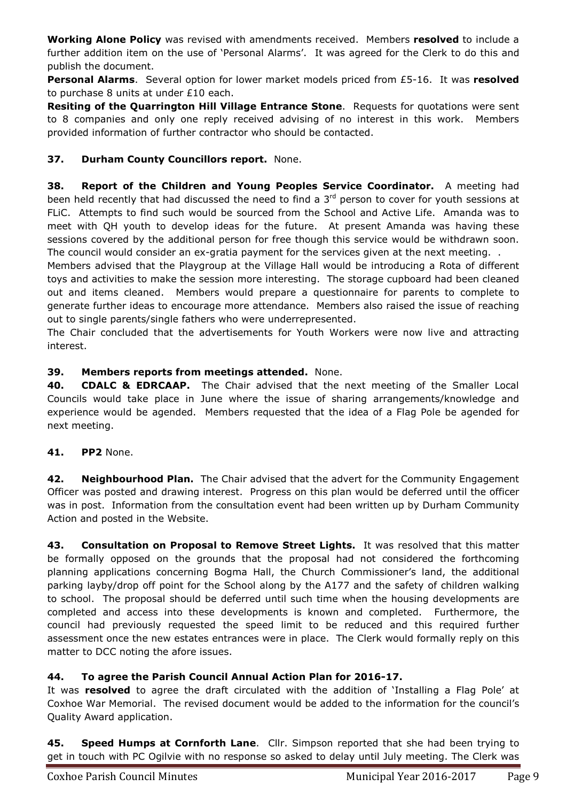**Working Alone Policy** was revised with amendments received. Members **resolved** to include a further addition item on the use of 'Personal Alarms'. It was agreed for the Clerk to do this and publish the document.

**Personal Alarms**. Several option for lower market models priced from £5-16. It was **resolved**  to purchase 8 units at under £10 each.

**Resiting of the Quarrington Hill Village Entrance Stone**. Requests for quotations were sent to 8 companies and only one reply received advising of no interest in this work. Members provided information of further contractor who should be contacted.

# **37. Durham County Councillors report.** None.

**38. Report of the Children and Young Peoples Service Coordinator.** A meeting had been held recently that had discussed the need to find a 3<sup>rd</sup> person to cover for youth sessions at FLiC. Attempts to find such would be sourced from the School and Active Life. Amanda was to meet with QH youth to develop ideas for the future. At present Amanda was having these sessions covered by the additional person for free though this service would be withdrawn soon. The council would consider an ex-gratia payment for the services given at the next meeting. .

Members advised that the Playgroup at the Village Hall would be introducing a Rota of different toys and activities to make the session more interesting. The storage cupboard had been cleaned out and items cleaned. Members would prepare a questionnaire for parents to complete to generate further ideas to encourage more attendance. Members also raised the issue of reaching out to single parents/single fathers who were underrepresented.

The Chair concluded that the advertisements for Youth Workers were now live and attracting interest.

# **39. Members reports from meetings attended.** None.

**40. CDALC & EDRCAAP.** The Chair advised that the next meeting of the Smaller Local Councils would take place in June where the issue of sharing arrangements/knowledge and experience would be agended. Members requested that the idea of a Flag Pole be agended for next meeting.

**41. PP2** None.

**42. Neighbourhood Plan.** The Chair advised that the advert for the Community Engagement Officer was posted and drawing interest. Progress on this plan would be deferred until the officer was in post. Information from the consultation event had been written up by Durham Community Action and posted in the Website.

**43. Consultation on Proposal to Remove Street Lights.** It was resolved that this matter be formally opposed on the grounds that the proposal had not considered the forthcoming planning applications concerning Bogma Hall, the Church Commissioner's land, the additional parking layby/drop off point for the School along by the A177 and the safety of children walking to school. The proposal should be deferred until such time when the housing developments are completed and access into these developments is known and completed. Furthermore, the council had previously requested the speed limit to be reduced and this required further assessment once the new estates entrances were in place. The Clerk would formally reply on this matter to DCC noting the afore issues.

# **44. To agree the Parish Council Annual Action Plan for 2016-17.**

It was **resolved** to agree the draft circulated with the addition of 'Installing a Flag Pole' at Coxhoe War Memorial. The revised document would be added to the information for the council's Quality Award application.

**45. Speed Humps at Cornforth Lane**. Cllr. Simpson reported that she had been trying to get in touch with PC Ogilvie with no response so asked to delay until July meeting. The Clerk was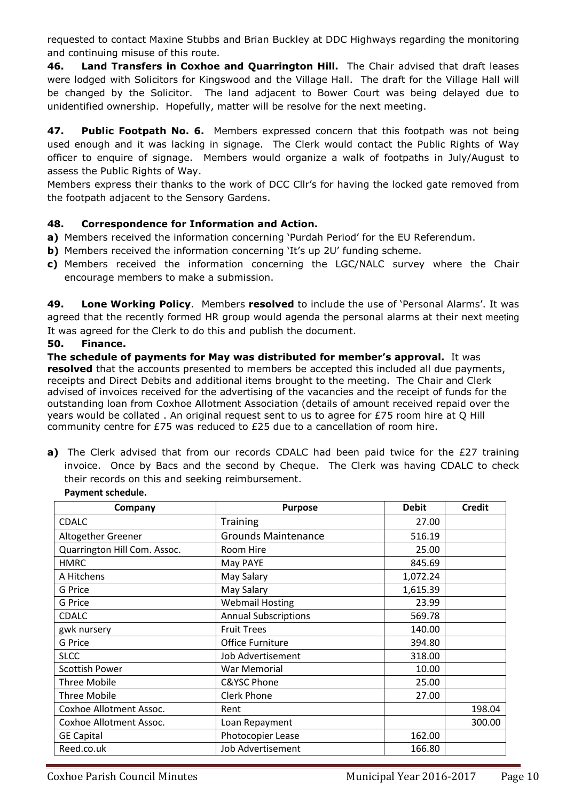requested to contact Maxine Stubbs and Brian Buckley at DDC Highways regarding the monitoring and continuing misuse of this route.

**46. Land Transfers in Coxhoe and Quarrington Hill.** The Chair advised that draft leases were lodged with Solicitors for Kingswood and the Village Hall. The draft for the Village Hall will be changed by the Solicitor. The land adjacent to Bower Court was being delayed due to unidentified ownership. Hopefully, matter will be resolve for the next meeting.

**47. Public Footpath No. 6.** Members expressed concern that this footpath was not being used enough and it was lacking in signage. The Clerk would contact the Public Rights of Way officer to enquire of signage. Members would organize a walk of footpaths in July/August to assess the Public Rights of Way.

Members express their thanks to the work of DCC Cllr's for having the locked gate removed from the footpath adjacent to the Sensory Gardens.

## **48. Correspondence for Information and Action.**

- **a)** Members received the information concerning 'Purdah Period' for the EU Referendum.
- **b)** Members received the information concerning 'It's up 2U' funding scheme.
- **c)** Members received the information concerning the LGC/NALC survey where the Chair encourage members to make a submission.

**49. Lone Working Policy**. Members **resolved** to include the use of 'Personal Alarms'. It was agreed that the recently formed HR group would agenda the personal alarms at their next meeting It was agreed for the Clerk to do this and publish the document.

#### **50. Finance.**

**The schedule of payments for May was distributed for member's approval.** It was **resolved** that the accounts presented to members be accepted this included all due payments, receipts and Direct Debits and additional items brought to the meeting. The Chair and Clerk advised of invoices received for the advertising of the vacancies and the receipt of funds for the outstanding loan from Coxhoe Allotment Association (details of amount received repaid over the years would be collated . An original request sent to us to agree for £75 room hire at O Hill community centre for £75 was reduced to £25 due to a cancellation of room hire.

**a)** The Clerk advised that from our records CDALC had been paid twice for the £27 training invoice. Once by Bacs and the second by Cheque. The Clerk was having CDALC to check their records on this and seeking reimbursement.

| Company                      | <b>Purpose</b>              | <b>Debit</b> | <b>Credit</b> |
|------------------------------|-----------------------------|--------------|---------------|
| CDALC                        | <b>Training</b>             | 27.00        |               |
| Altogether Greener           | <b>Grounds Maintenance</b>  | 516.19       |               |
| Quarrington Hill Com. Assoc. | Room Hire                   | 25.00        |               |
| <b>HMRC</b>                  | May PAYE                    | 845.69       |               |
| A Hitchens                   | May Salary                  | 1,072.24     |               |
| <b>G</b> Price               | May Salary                  | 1,615.39     |               |
| G Price                      | <b>Webmail Hosting</b>      | 23.99        |               |
| <b>CDALC</b>                 | <b>Annual Subscriptions</b> | 569.78       |               |
| gwk nursery                  | <b>Fruit Trees</b>          | 140.00       |               |
| <b>G</b> Price               | <b>Office Furniture</b>     | 394.80       |               |
| <b>SLCC</b>                  | Job Advertisement           | 318.00       |               |
| <b>Scottish Power</b>        | War Memorial                | 10.00        |               |
| <b>Three Mobile</b>          | <b>C&amp;YSC Phone</b>      | 25.00        |               |
| <b>Three Mobile</b>          | <b>Clerk Phone</b>          | 27.00        |               |
| Coxhoe Allotment Assoc.      | Rent                        |              | 198.04        |
| Coxhoe Allotment Assoc.      | Loan Repayment              |              | 300.00        |
| <b>GE Capital</b>            | Photocopier Lease           | 162.00       |               |
| Reed.co.uk                   | <b>Job Advertisement</b>    | 166.80       |               |

#### **Payment schedule.**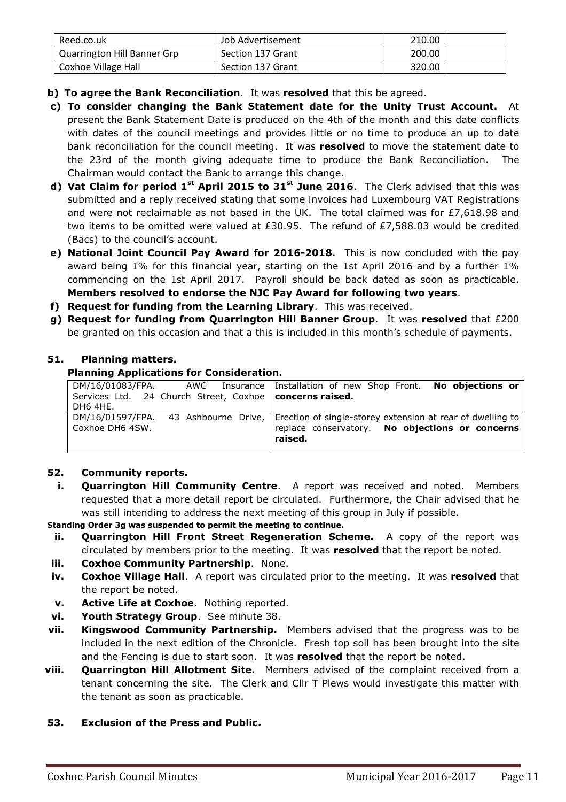| Reed.co.uk                         | Job Advertisement | 210.00 |  |
|------------------------------------|-------------------|--------|--|
| <b>Quarrington Hill Banner Grp</b> | Section 137 Grant | 200.00 |  |
| Coxhoe Village Hall                | Section 137 Grant | 320.00 |  |

- **b) To agree the Bank Reconciliation**. It was **resolved** that this be agreed.
- **c) To consider changing the Bank Statement date for the Unity Trust Account.** At present the Bank Statement Date is produced on the 4th of the month and this date conflicts with dates of the council meetings and provides little or no time to produce an up to date bank reconciliation for the council meeting. It was **resolved** to move the statement date to the 23rd of the month giving adequate time to produce the Bank Reconciliation. The Chairman would contact the Bank to arrange this change.
- **d) Vat Claim for period 1st April 2015 to 31st June 2016**. The Clerk advised that this was submitted and a reply received stating that some invoices had Luxembourg VAT Registrations and were not reclaimable as not based in the UK. The total claimed was for £7,618.98 and two items to be omitted were valued at £30.95. The refund of £7,588.03 would be credited (Bacs) to the council's account.
- **e) National Joint Council Pay Award for 2016-2018.** This is now concluded with the pay award being 1% for this financial year, starting on the 1st April 2016 and by a further 1% commencing on the 1st April 2017. Payroll should be back dated as soon as practicable. **Members resolved to endorse the NJC Pay Award for following two years**.
- **f) Request for funding from the Learning Library**. This was received.
- **g) Request for funding from Quarrington Hill Banner Group**. It was **resolved** that £200 be granted on this occasion and that a this is included in this month's schedule of payments.

## **51. Planning matters.**

## **Planning Applications for Consideration.**

| Services Ltd. 24 Church Street, Coxhoe   concerns raised.<br>DH6 4HE. | DM/16/01083/FPA. AWC Insurance Installation of new Shop Front. No objections or                                                                               |
|-----------------------------------------------------------------------|---------------------------------------------------------------------------------------------------------------------------------------------------------------|
| Coxhoe DH6 4SW.                                                       | DM/16/01597/FPA. 43 Ashbourne Drive, Erection of single-storey extension at rear of dwelling to<br>replace conservatory. No objections or concerns<br>raised. |

# **52. Community reports.**

**i. Quarrington Hill Community Centre**. A report was received and noted. Members requested that a more detail report be circulated. Furthermore, the Chair advised that he was still intending to address the next meeting of this group in July if possible.

**Standing Order 3g was suspended to permit the meeting to continue.** 

- **ii. Quarrington Hill Front Street Regeneration Scheme.** A copy of the report was circulated by members prior to the meeting. It was **resolved** that the report be noted.
- **iii. Coxhoe Community Partnership**. None.
- **iv. Coxhoe Village Hall**. A report was circulated prior to the meeting. It was **resolved** that the report be noted.
- **v. Active Life at Coxhoe**. Nothing reported.
- **vi. Youth Strategy Group**. See minute 38.
- **vii. Kingswood Community Partnership.** Members advised that the progress was to be included in the next edition of the Chronicle. Fresh top soil has been brought into the site and the Fencing is due to start soon. It was **resolved** that the report be noted.
- **viii. Quarrington Hill Allotment Site.** Members advised of the complaint received from a tenant concerning the site. The Clerk and Cllr T Plews would investigate this matter with the tenant as soon as practicable.

#### **53. Exclusion of the Press and Public.**